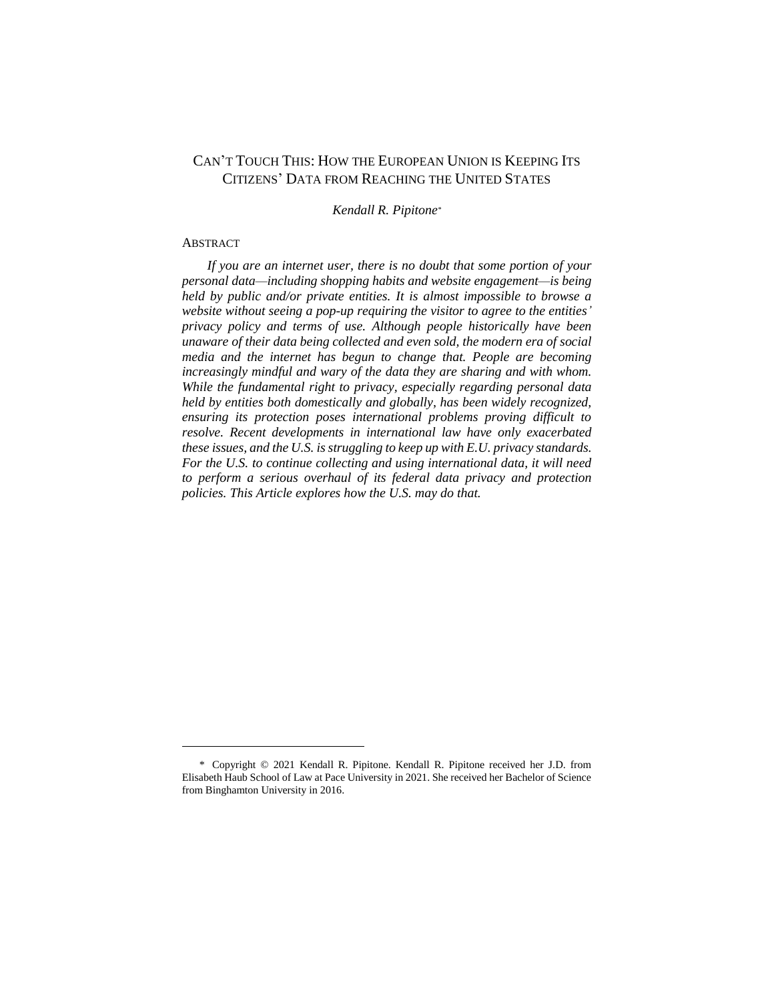# CAN'T TOUCH THIS: HOW THE EUROPEAN UNION IS KEEPING ITS CITIZENS' DATA FROM REACHING THE UNITED STATES

*Kendall R. Pipitone\**

#### ABSTRACT

l

*If you are an internet user, there is no doubt that some portion of your personal data—including shopping habits and website engagement—is being held by public and/or private entities. It is almost impossible to browse a website without seeing a pop-up requiring the visitor to agree to the entities' privacy policy and terms of use. Although people historically have been unaware of their data being collected and even sold, the modern era of social media and the internet has begun to change that. People are becoming increasingly mindful and wary of the data they are sharing and with whom. While the fundamental right to privacy, especially regarding personal data held by entities both domestically and globally, has been widely recognized, ensuring its protection poses international problems proving difficult to resolve. Recent developments in international law have only exacerbated these issues, and the U.S. is struggling to keep up with E.U. privacy standards. For the U.S. to continue collecting and using international data, it will need to perform a serious overhaul of its federal data privacy and protection policies. This Article explores how the U.S. may do that.*

<sup>\*</sup> Copyright © 2021 Kendall R. Pipitone. Kendall R. Pipitone received her J.D. from Elisabeth Haub School of Law at Pace University in 2021. She received her Bachelor of Science from Binghamton University in 2016.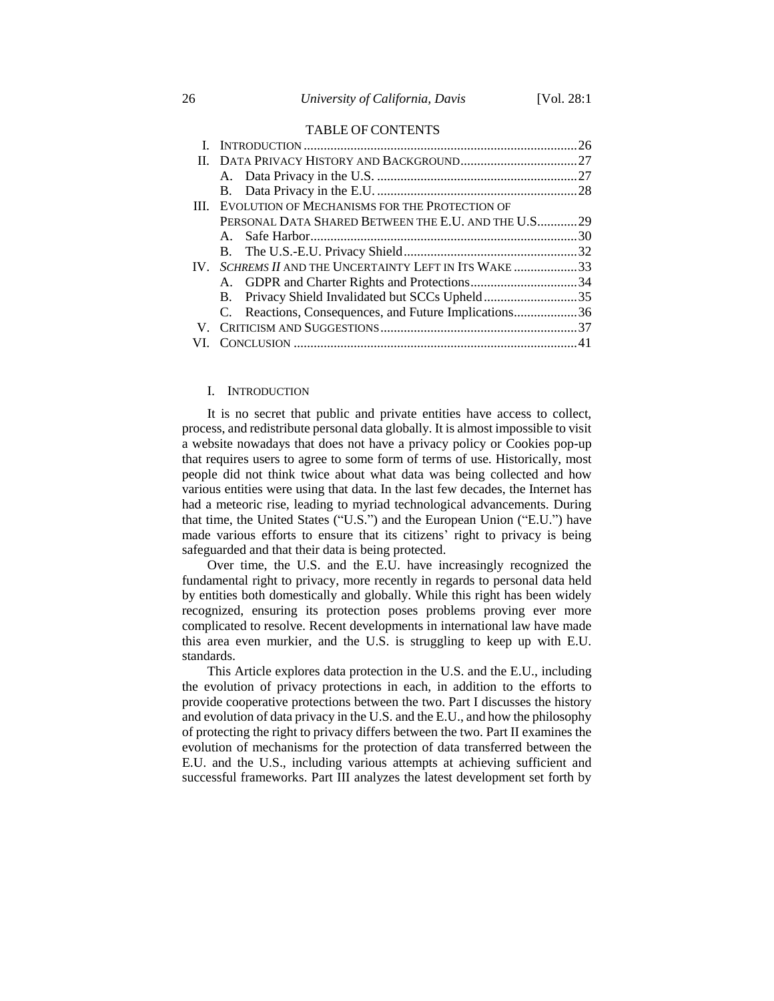#### TABLE OF CONTENTS

|    | III. EVOLUTION OF MECHANISMS FOR THE PROTECTION OF     |  |
|----|--------------------------------------------------------|--|
|    | PERSONAL DATA SHARED BETWEEN THE E.U. AND THE U.S 29   |  |
|    |                                                        |  |
|    |                                                        |  |
|    | IV. SCHREMS II AND THE UNCERTAINTY LEFT IN ITS WAKE 33 |  |
|    | A. GDPR and Charter Rights and Protections34           |  |
|    |                                                        |  |
|    | C. Reactions, Consequences, and Future Implications36  |  |
| V. |                                                        |  |
|    |                                                        |  |
|    |                                                        |  |

# I. INTRODUCTION

It is no secret that public and private entities have access to collect, process, and redistribute personal data globally. It is almost impossible to visit a website nowadays that does not have a privacy policy or Cookies pop-up that requires users to agree to some form of terms of use. Historically, most people did not think twice about what data was being collected and how various entities were using that data. In the last few decades, the Internet has had a meteoric rise, leading to myriad technological advancements. During that time, the United States ("U.S.") and the European Union ("E.U.") have made various efforts to ensure that its citizens' right to privacy is being safeguarded and that their data is being protected.

Over time, the U.S. and the E.U. have increasingly recognized the fundamental right to privacy, more recently in regards to personal data held by entities both domestically and globally. While this right has been widely recognized, ensuring its protection poses problems proving ever more complicated to resolve. Recent developments in international law have made this area even murkier, and the U.S. is struggling to keep up with E.U. standards.

This Article explores data protection in the U.S. and the E.U., including the evolution of privacy protections in each, in addition to the efforts to provide cooperative protections between the two. Part I discusses the history and evolution of data privacy in the U.S. and the E.U., and how the philosophy of protecting the right to privacy differs between the two. Part II examines the evolution of mechanisms for the protection of data transferred between the E.U. and the U.S., including various attempts at achieving sufficient and successful frameworks. Part III analyzes the latest development set forth by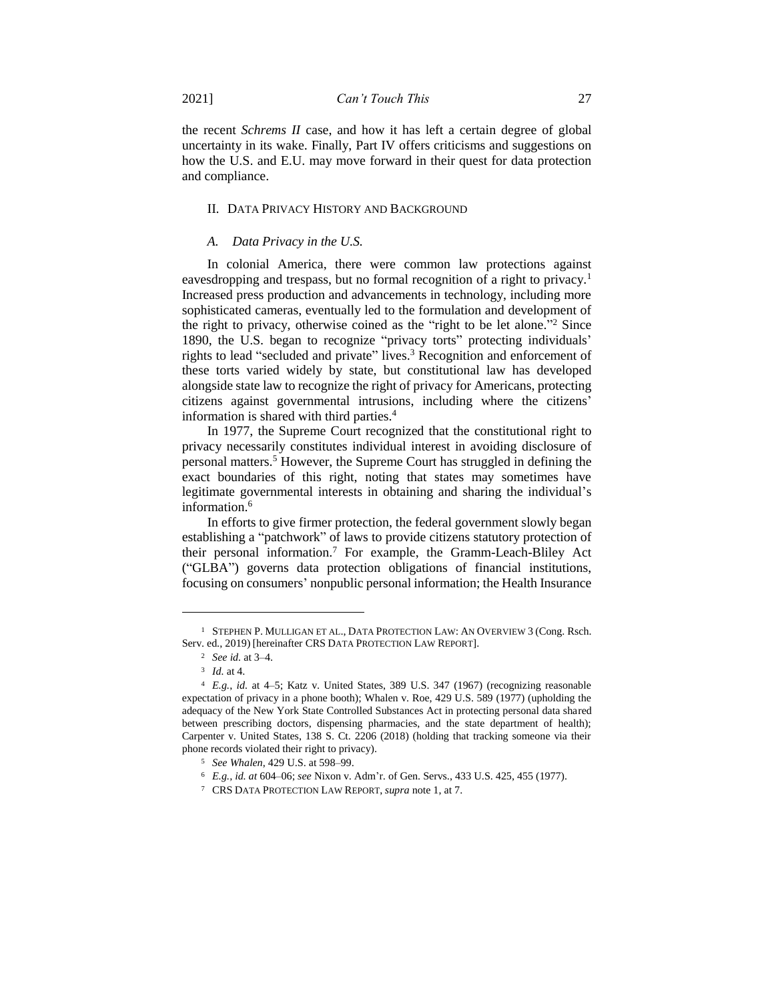the recent *Schrems II* case, and how it has left a certain degree of global uncertainty in its wake. Finally, Part IV offers criticisms and suggestions on how the U.S. and E.U. may move forward in their quest for data protection and compliance.

## II. DATA PRIVACY HISTORY AND BACKGROUND

#### *A. Data Privacy in the U.S.*

In colonial America, there were common law protections against eavesdropping and trespass, but no formal recognition of a right to privacy.<sup>1</sup> Increased press production and advancements in technology, including more sophisticated cameras, eventually led to the formulation and development of the right to privacy, otherwise coined as the "right to be let alone." <sup>2</sup> Since 1890, the U.S. began to recognize "privacy torts" protecting individuals' rights to lead "secluded and private" lives.<sup>3</sup> Recognition and enforcement of these torts varied widely by state, but constitutional law has developed alongside state law to recognize the right of privacy for Americans, protecting citizens against governmental intrusions, including where the citizens' information is shared with third parties.<sup>4</sup>

In 1977, the Supreme Court recognized that the constitutional right to privacy necessarily constitutes individual interest in avoiding disclosure of personal matters.<sup>5</sup> However, the Supreme Court has struggled in defining the exact boundaries of this right, noting that states may sometimes have legitimate governmental interests in obtaining and sharing the individual's information.<sup>6</sup>

In efforts to give firmer protection, the federal government slowly began establishing a "patchwork" of laws to provide citizens statutory protection of their personal information.<sup>7</sup> For example, the Gramm-Leach-Bliley Act ("GLBA") governs data protection obligations of financial institutions, focusing on consumers' nonpublic personal information; the Health Insurance

<sup>1</sup> STEPHEN P. MULLIGAN ET AL., DATA PROTECTION LAW: AN OVERVIEW 3 (Cong. Rsch. Serv. ed., 2019) [hereinafter CRS DATA PROTECTION LAW REPORT].

<sup>2</sup> *See id.* at 3–4.

<sup>3</sup> *Id.* at 4.

<sup>4</sup> *E.g.*, *id.* at 4–5; Katz v. United States, 389 U.S. 347 (1967) (recognizing reasonable expectation of privacy in a phone booth); Whalen v. Roe, 429 U.S. 589 (1977) (upholding the adequacy of the New York State Controlled Substances Act in protecting personal data shared between prescribing doctors, dispensing pharmacies, and the state department of health); Carpenter v. United States, 138 S. Ct. 2206 (2018) (holding that tracking someone via their phone records violated their right to privacy).

<sup>5</sup> *See Whalen*, 429 U.S. at 598–99.

<sup>6</sup> *E.g., id. at* 604–06; *see* Nixon v. Adm'r. of Gen. Servs., 433 U.S. 425, 455 (1977).

<sup>7</sup> CRS DATA PROTECTION LAW REPORT, *supra* note 1, at 7.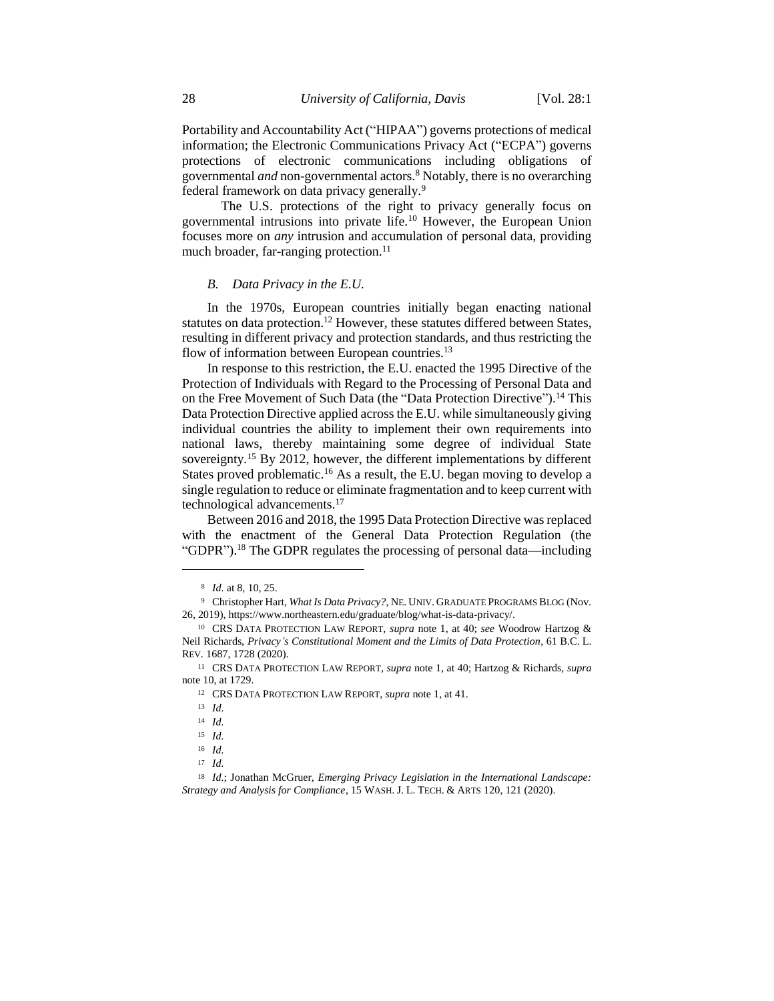Portability and Accountability Act ("HIPAA") governs protections of medical information; the Electronic Communications Privacy Act ("ECPA") governs protections of electronic communications including obligations of governmental *and* non-governmental actors.<sup>8</sup> Notably, there is no overarching federal framework on data privacy generally.<sup>9</sup>

The U.S. protections of the right to privacy generally focus on governmental intrusions into private life.<sup>10</sup> However, the European Union focuses more on *any* intrusion and accumulation of personal data, providing much broader, far-ranging protection.<sup>11</sup>

#### *B. Data Privacy in the E.U.*

In the 1970s, European countries initially began enacting national statutes on data protection.<sup>12</sup> However, these statutes differed between States, resulting in different privacy and protection standards, and thus restricting the flow of information between European countries.<sup>13</sup>

In response to this restriction, the E.U. enacted the 1995 Directive of the Protection of Individuals with Regard to the Processing of Personal Data and on the Free Movement of Such Data (the "Data Protection Directive").<sup>14</sup> This Data Protection Directive applied across the E.U. while simultaneously giving individual countries the ability to implement their own requirements into national laws, thereby maintaining some degree of individual State sovereignty.<sup>15</sup> By 2012, however, the different implementations by different States proved problematic.<sup>16</sup> As a result, the E.U. began moving to develop a single regulation to reduce or eliminate fragmentation and to keep current with technological advancements.<sup>17</sup>

Between 2016 and 2018, the 1995 Data Protection Directive was replaced with the enactment of the General Data Protection Regulation (the "GDPR").<sup>18</sup> The GDPR regulates the processing of personal data—including

<sup>8</sup> *Id.* at 8, 10, 25.

<sup>9</sup> Christopher Hart, *What Is Data Privacy?*, NE. UNIV. GRADUATE PROGRAMS BLOG (Nov. 26, 2019), https://www.northeastern.edu/graduate/blog/what-is-data-privacy/.

<sup>10</sup> CRS DATA PROTECTION LAW REPORT, *supra* note 1, at 40; *see* Woodrow Hartzog & Neil Richards, *Privacy's Constitutional Moment and the Limits of Data Protection*, 61 B.C. L. REV. 1687, 1728 (2020).

<sup>11</sup> CRS DATA PROTECTION LAW REPORT, *supra* note 1, at 40; Hartzog & Richards, *supra* note 10, at 1729.

<sup>12</sup> CRS DATA PROTECTION LAW REPORT, *supra* note 1, at 41.

<sup>13</sup> *Id.*

<sup>14</sup> *Id.*

<sup>15</sup> *Id.*

<sup>16</sup> *Id.*

<sup>17</sup> *Id.*

<sup>18</sup> *Id.*; Jonathan McGruer, *Emerging Privacy Legislation in the International Landscape: Strategy and Analysis for Compliance*, 15 WASH. J. L. TECH. & ARTS 120, 121 (2020).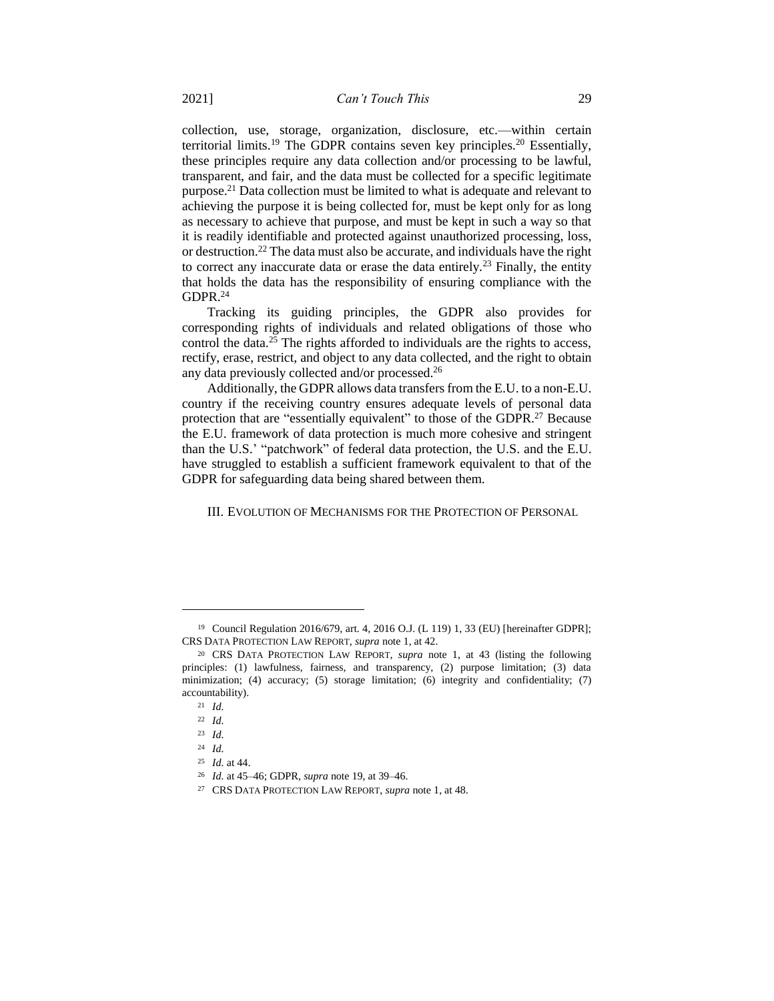collection, use, storage, organization, disclosure, etc.—within certain territorial limits.<sup>19</sup> The GDPR contains seven key principles.<sup>20</sup> Essentially, these principles require any data collection and/or processing to be lawful, transparent, and fair, and the data must be collected for a specific legitimate purpose.<sup>21</sup> Data collection must be limited to what is adequate and relevant to achieving the purpose it is being collected for, must be kept only for as long as necessary to achieve that purpose, and must be kept in such a way so that it is readily identifiable and protected against unauthorized processing, loss, or destruction.<sup>22</sup> The data must also be accurate, and individuals have the right to correct any inaccurate data or erase the data entirely.<sup>23</sup> Finally, the entity that holds the data has the responsibility of ensuring compliance with the  $GDPR.<sup>24</sup>$ 

Tracking its guiding principles, the GDPR also provides for corresponding rights of individuals and related obligations of those who control the data.<sup>25</sup> The rights afforded to individuals are the rights to access, rectify, erase, restrict, and object to any data collected, and the right to obtain any data previously collected and/or processed.<sup>26</sup>

Additionally, the GDPR allows data transfers from the E.U. to a non-E.U. country if the receiving country ensures adequate levels of personal data protection that are "essentially equivalent" to those of the GDPR.<sup>27</sup> Because the E.U. framework of data protection is much more cohesive and stringent than the U.S.' "patchwork" of federal data protection, the U.S. and the E.U. have struggled to establish a sufficient framework equivalent to that of the GDPR for safeguarding data being shared between them.

III. EVOLUTION OF MECHANISMS FOR THE PROTECTION OF PERSONAL

<sup>19</sup> Council Regulation 2016/679, art. 4, 2016 O.J. (L 119) 1, 33 (EU) [hereinafter GDPR]; CRS DATA PROTECTION LAW REPORT, *supra* note 1, at 42.

<sup>20</sup> CRS DATA PROTECTION LAW REPORT, *supra* note 1, at 43 (listing the following principles: (1) lawfulness, fairness, and transparency, (2) purpose limitation; (3) data minimization; (4) accuracy; (5) storage limitation; (6) integrity and confidentiality; (7) accountability).

<sup>21</sup> *Id.*

<sup>22</sup> *Id.*

<sup>23</sup> *Id.*

<sup>24</sup> *Id.*

<sup>25</sup> *Id.* at 44.

<sup>26</sup> *Id.* at 45–46; GDPR, *supra* note 19, at 39–46.

<sup>27</sup> CRS DATA PROTECTION LAW REPORT, *supra* note 1, at 48.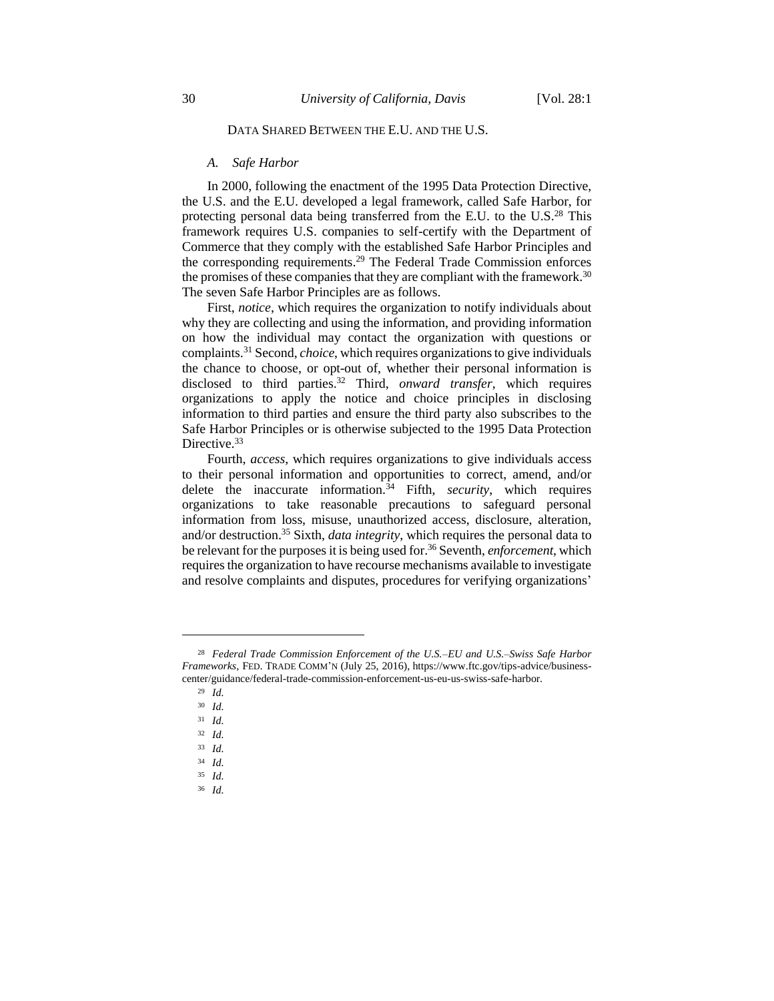# DATA SHARED BETWEEN THE E.U. AND THE U.S.

#### *A. Safe Harbor*

In 2000, following the enactment of the 1995 Data Protection Directive, the U.S. and the E.U. developed a legal framework, called Safe Harbor, for protecting personal data being transferred from the E.U. to the U.S.<sup>28</sup> This framework requires U.S. companies to self-certify with the Department of Commerce that they comply with the established Safe Harbor Principles and the corresponding requirements.<sup>29</sup> The Federal Trade Commission enforces the promises of these companies that they are compliant with the framework.<sup>30</sup> The seven Safe Harbor Principles are as follows.

First, *notice*, which requires the organization to notify individuals about why they are collecting and using the information, and providing information on how the individual may contact the organization with questions or complaints.<sup>31</sup> Second, *choice*, which requires organizations to give individuals the chance to choose, or opt-out of, whether their personal information is disclosed to third parties.<sup>32</sup> Third, *onward transfer*, which requires organizations to apply the notice and choice principles in disclosing information to third parties and ensure the third party also subscribes to the Safe Harbor Principles or is otherwise subjected to the 1995 Data Protection Directive.<sup>33</sup>

Fourth, *access*, which requires organizations to give individuals access to their personal information and opportunities to correct, amend, and/or delete the inaccurate information.<sup>34</sup> Fifth, *security*, which requires organizations to take reasonable precautions to safeguard personal information from loss, misuse, unauthorized access, disclosure, alteration, and/or destruction.<sup>35</sup> Sixth, *data integrity*, which requires the personal data to be relevant for the purposes it is being used for.<sup>36</sup> Seventh, *enforcement*, which requires the organization to have recourse mechanisms available to investigate and resolve complaints and disputes, procedures for verifying organizations'

<sup>28</sup> *Federal Trade Commission Enforcement of the U.S.–EU and U.S.–Swiss Safe Harbor Frameworks*, FED. TRADE COMM'N (July 25, 2016), https://www.ftc.gov/tips-advice/businesscenter/guidance/federal-trade-commission-enforcement-us-eu-us-swiss-safe-harbor.

<sup>29</sup> *Id.*

<sup>30</sup> *Id.*

<sup>31</sup> *Id.*

<sup>32</sup> *Id.*

<sup>33</sup> *Id.*

<sup>34</sup> *Id.*

<sup>35</sup> *Id.*

<sup>36</sup> *Id.*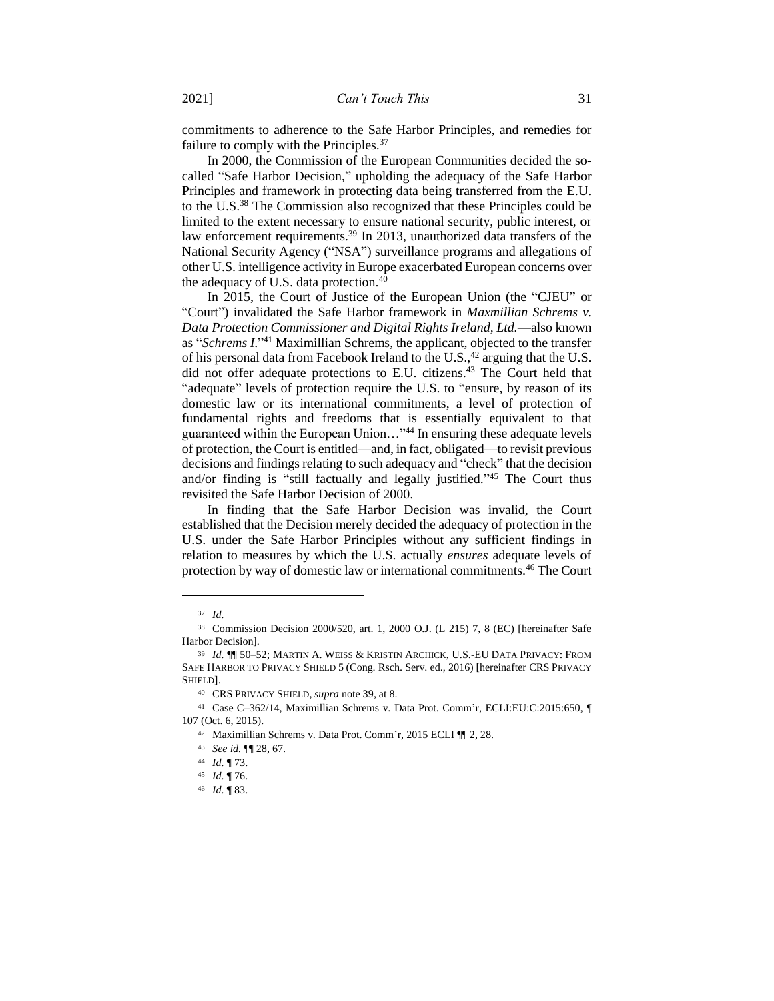commitments to adherence to the Safe Harbor Principles, and remedies for failure to comply with the Principles.<sup>37</sup>

In 2000, the Commission of the European Communities decided the socalled "Safe Harbor Decision," upholding the adequacy of the Safe Harbor Principles and framework in protecting data being transferred from the E.U. to the U.S.<sup>38</sup> The Commission also recognized that these Principles could be limited to the extent necessary to ensure national security, public interest, or law enforcement requirements.<sup>39</sup> In 2013, unauthorized data transfers of the National Security Agency ("NSA") surveillance programs and allegations of other U.S. intelligence activity in Europe exacerbated European concerns over the adequacy of U.S. data protection.<sup>40</sup>

In 2015, the Court of Justice of the European Union (the "CJEU" or "Court") invalidated the Safe Harbor framework in *Maxmillian Schrems v. Data Protection Commissioner and Digital Rights Ireland, Ltd.*—also known as "*Schrems I*." <sup>41</sup> Maximillian Schrems, the applicant, objected to the transfer of his personal data from Facebook Ireland to the U.S., $42$  arguing that the U.S. did not offer adequate protections to E.U. citizens.<sup>43</sup> The Court held that "adequate" levels of protection require the U.S. to "ensure, by reason of its domestic law or its international commitments, a level of protection of fundamental rights and freedoms that is essentially equivalent to that guaranteed within the European Union…" <sup>44</sup> In ensuring these adequate levels of protection, the Court is entitled—and, in fact, obligated—to revisit previous decisions and findings relating to such adequacy and "check" that the decision and/or finding is "still factually and legally justified." <sup>45</sup> The Court thus revisited the Safe Harbor Decision of 2000.

In finding that the Safe Harbor Decision was invalid, the Court established that the Decision merely decided the adequacy of protection in the U.S. under the Safe Harbor Principles without any sufficient findings in relation to measures by which the U.S. actually *ensures* adequate levels of protection by way of domestic law or international commitments.<sup>46</sup> The Court

<sup>37</sup> *Id.*

<sup>38</sup> Commission Decision 2000/520, art. 1, 2000 O.J. (L 215) 7, 8 (EC) [hereinafter Safe Harbor Decision].

<sup>39</sup> *Id.* ¶¶ 50–52; MARTIN A. WEISS & KRISTIN ARCHICK, U.S.-EU DATA PRIVACY: FROM SAFE HARBOR TO PRIVACY SHIELD 5 (Cong. Rsch. Serv. ed., 2016) [hereinafter CRS PRIVACY SHIELD].

<sup>40</sup> CRS PRIVACY SHIELD, *supra* note 39, at 8.

<sup>41</sup> Case C–362/14, Maximillian Schrems v. Data Prot. Comm'r, ECLI:EU:C:2015:650, ¶ 107 (Oct. 6, 2015).

<sup>42</sup> Maximillian Schrems v. Data Prot. Comm'r, 2015 ECLI ¶¶ 2, 28.

<sup>43</sup> *See id.* ¶¶ 28, 67.

<sup>44</sup> *Id.* ¶ 73.

<sup>45</sup> *Id.* ¶ 76.

<sup>46</sup> *Id.* ¶ 83.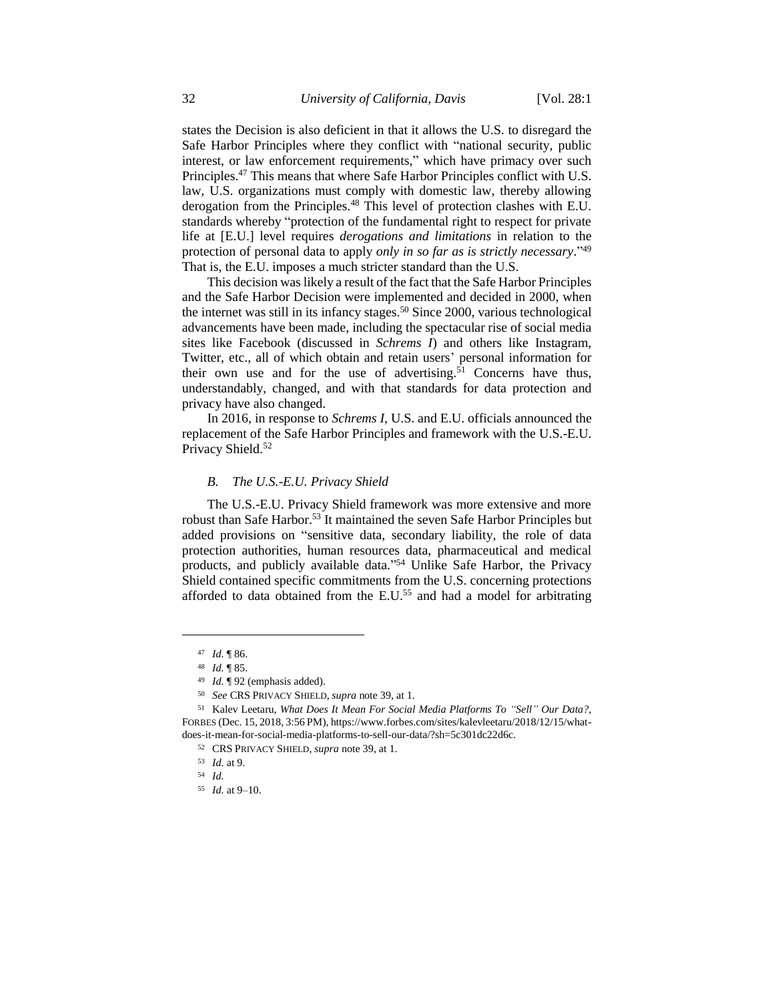states the Decision is also deficient in that it allows the U.S. to disregard the Safe Harbor Principles where they conflict with "national security, public interest, or law enforcement requirements," which have primacy over such Principles.<sup>47</sup> This means that where Safe Harbor Principles conflict with U.S. law, U.S. organizations must comply with domestic law, thereby allowing derogation from the Principles.<sup>48</sup> This level of protection clashes with E.U. standards whereby "protection of the fundamental right to respect for private life at [E.U.] level requires *derogations and limitations* in relation to the protection of personal data to apply *only in so far as is strictly necessary*." 49 That is, the E.U. imposes a much stricter standard than the U.S.

This decision was likely a result of the fact that the Safe Harbor Principles and the Safe Harbor Decision were implemented and decided in 2000, when the internet was still in its infancy stages.<sup>50</sup> Since 2000, various technological advancements have been made, including the spectacular rise of social media sites like Facebook (discussed in *Schrems I*) and others like Instagram, Twitter, etc., all of which obtain and retain users' personal information for their own use and for the use of advertising.<sup>51</sup> Concerns have thus, understandably, changed, and with that standards for data protection and privacy have also changed.

In 2016, in response to *Schrems I*, U.S. and E.U. officials announced the replacement of the Safe Harbor Principles and framework with the U.S.-E.U. Privacy Shield.<sup>52</sup>

#### *B. The U.S.-E.U. Privacy Shield*

The U.S.-E.U. Privacy Shield framework was more extensive and more robust than Safe Harbor.<sup>53</sup> It maintained the seven Safe Harbor Principles but added provisions on "sensitive data, secondary liability, the role of data protection authorities, human resources data, pharmaceutical and medical products, and publicly available data." <sup>54</sup> Unlike Safe Harbor, the Privacy Shield contained specific commitments from the U.S. concerning protections afforded to data obtained from the E.U.<sup>55</sup> and had a model for arbitrating

<sup>47</sup> *Id.* ¶ 86.

<sup>48</sup> *Id.* ¶ 85.

<sup>49</sup> *Id.* ¶ 92 (emphasis added).

<sup>50</sup> *See* CRS PRIVACY SHIELD, *supra* note 39, at 1.

<sup>51</sup> Kalev Leetaru, *What Does It Mean For Social Media Platforms To "Sell" Our Data?*, FORBES (Dec. 15, 2018, 3:56 PM), https://www.forbes.com/sites/kalevleetaru/2018/12/15/whatdoes-it-mean-for-social-media-platforms-to-sell-our-data/?sh=5c301dc22d6c.

<sup>52</sup> CRS PRIVACY SHIELD, *supra* note 39, at 1.

<sup>53</sup> *Id.* at 9.

<sup>54</sup> *Id.*

<sup>55</sup> *Id.* at 9–10.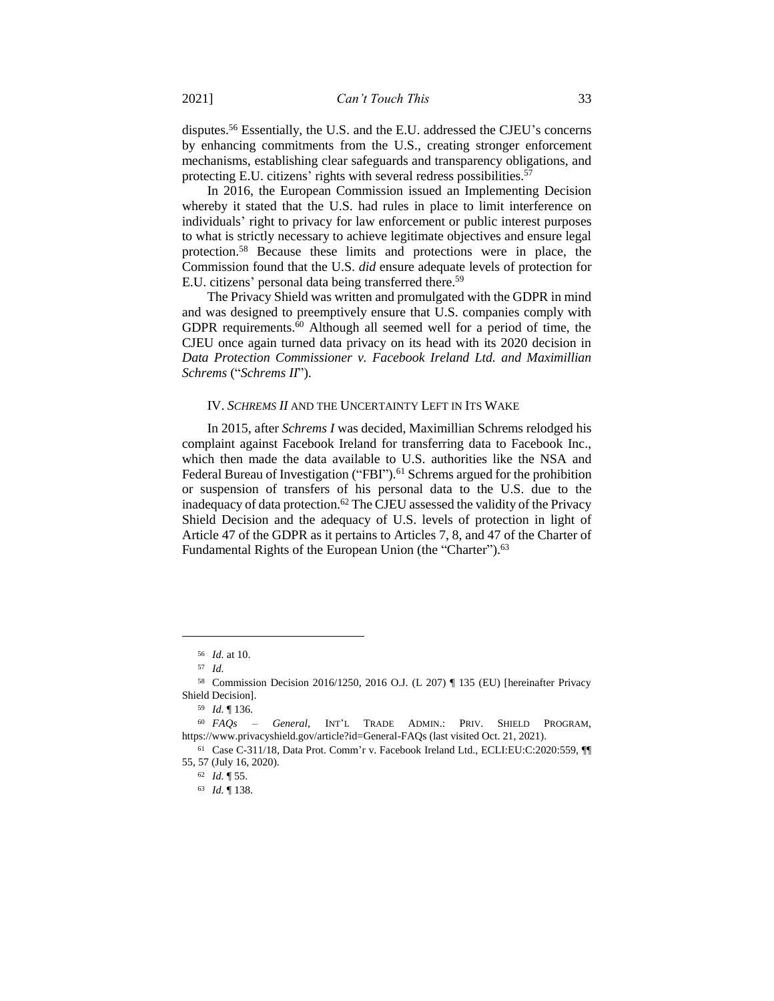disputes.<sup>56</sup> Essentially, the U.S. and the E.U. addressed the CJEU's concerns by enhancing commitments from the U.S., creating stronger enforcement mechanisms, establishing clear safeguards and transparency obligations, and protecting E.U. citizens' rights with several redress possibilities.<sup>57</sup>

In 2016, the European Commission issued an Implementing Decision whereby it stated that the U.S. had rules in place to limit interference on individuals' right to privacy for law enforcement or public interest purposes to what is strictly necessary to achieve legitimate objectives and ensure legal protection.<sup>58</sup> Because these limits and protections were in place, the Commission found that the U.S. *did* ensure adequate levels of protection for E.U. citizens' personal data being transferred there.<sup>59</sup>

The Privacy Shield was written and promulgated with the GDPR in mind and was designed to preemptively ensure that U.S. companies comply with GDPR requirements.<sup>60</sup> Although all seemed well for a period of time, the CJEU once again turned data privacy on its head with its 2020 decision in *Data Protection Commissioner v. Facebook Ireland Ltd. and Maximillian Schrems* ("*Schrems II*").

#### IV. *SCHREMS II* AND THE UNCERTAINTY LEFT IN ITS WAKE

In 2015, after *Schrems I* was decided, Maximillian Schrems relodged his complaint against Facebook Ireland for transferring data to Facebook Inc., which then made the data available to U.S. authorities like the NSA and Federal Bureau of Investigation ("FBI").<sup>61</sup> Schrems argued for the prohibition or suspension of transfers of his personal data to the U.S. due to the inadequacy of data protection.<sup>62</sup> The CJEU assessed the validity of the Privacy Shield Decision and the adequacy of U.S. levels of protection in light of Article 47 of the GDPR as it pertains to Articles 7, 8, and 47 of the Charter of Fundamental Rights of the European Union (the "Charter").<sup>63</sup>

<sup>56</sup> *Id.* at 10.

<sup>57</sup> *Id.*

<sup>58</sup> Commission Decision 2016/1250, 2016 O.J. (L 207) ¶ 135 (EU) [hereinafter Privacy Shield Decision].

<sup>59</sup> *Id.* ¶ 136.

<sup>60</sup> *FAQs – General*, INT'L TRADE ADMIN.: PRIV. SHIELD PROGRAM, https://www.privacyshield.gov/article?id=General-FAQs (last visited Oct. 21, 2021).

<sup>61</sup> Case C-311/18, Data Prot. Comm'r v. Facebook Ireland Ltd., ECLI:EU:C:2020:559, ¶¶ 55, 57 (July 16, 2020).

<sup>62</sup> *Id.* ¶ 55.

<sup>63</sup> *Id.* ¶ 138.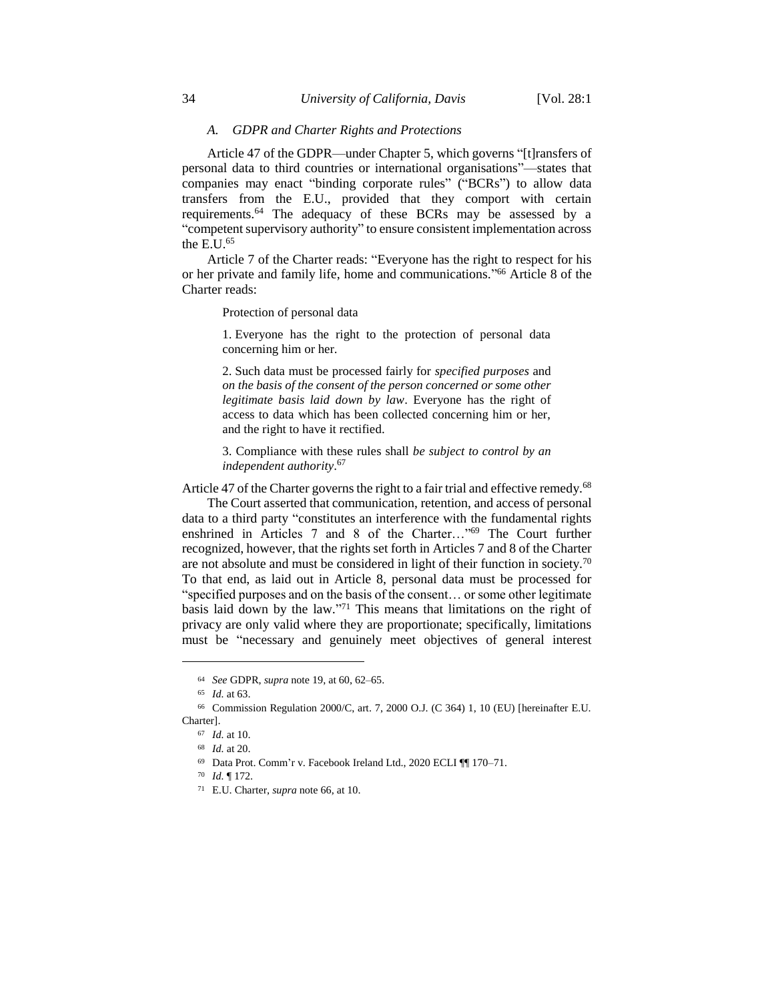## *A. GDPR and Charter Rights and Protections*

Article 47 of the GDPR—under Chapter 5, which governs "[t]ransfers of personal data to third countries or international organisations"—states that companies may enact "binding corporate rules" ("BCRs") to allow data transfers from the E.U., provided that they comport with certain requirements.<sup>64</sup> The adequacy of these BCRs may be assessed by a "competent supervisory authority" to ensure consistent implementation across the E.U.<sup>65</sup>

Article 7 of the Charter reads: "Everyone has the right to respect for his or her private and family life, home and communications." <sup>66</sup> Article 8 of the Charter reads:

Protection of personal data

1. Everyone has the right to the protection of personal data concerning him or her.

2. Such data must be processed fairly for *specified purposes* and *on the basis of the consent of the person concerned or some other legitimate basis laid down by law*. Everyone has the right of access to data which has been collected concerning him or her, and the right to have it rectified.

3. Compliance with these rules shall *be subject to control by an independent authority*. 67

Article 47 of the Charter governs the right to a fair trial and effective remedy.<sup>68</sup>

The Court asserted that communication, retention, and access of personal data to a third party "constitutes an interference with the fundamental rights enshrined in Articles 7 and 8 of the Charter…"<sup>69</sup> The Court further recognized, however, that the rights set forth in Articles 7 and 8 of the Charter are not absolute and must be considered in light of their function in society.<sup>70</sup> To that end, as laid out in Article 8, personal data must be processed for "specified purposes and on the basis of the consent… or some other legitimate basis laid down by the law." <sup>71</sup> This means that limitations on the right of privacy are only valid where they are proportionate; specifically, limitations must be "necessary and genuinely meet objectives of general interest

<sup>64</sup> *See* GDPR, *supra* note 19, at 60, 62–65.

<sup>65</sup> *Id.* at 63.

<sup>66</sup> Commission Regulation 2000/C, art. 7, 2000 O.J. (C 364) 1, 10 (EU) [hereinafter E.U. Charter].

<sup>67</sup> *Id.* at 10.

<sup>68</sup> *Id.* at 20.

<sup>69</sup> Data Prot. Comm'r v. Facebook Ireland Ltd., 2020 ECLI ¶¶ 170–71.

<sup>70</sup> *Id.* ¶ 172.

<sup>71</sup> E.U. Charter, *supra* note 66, at 10.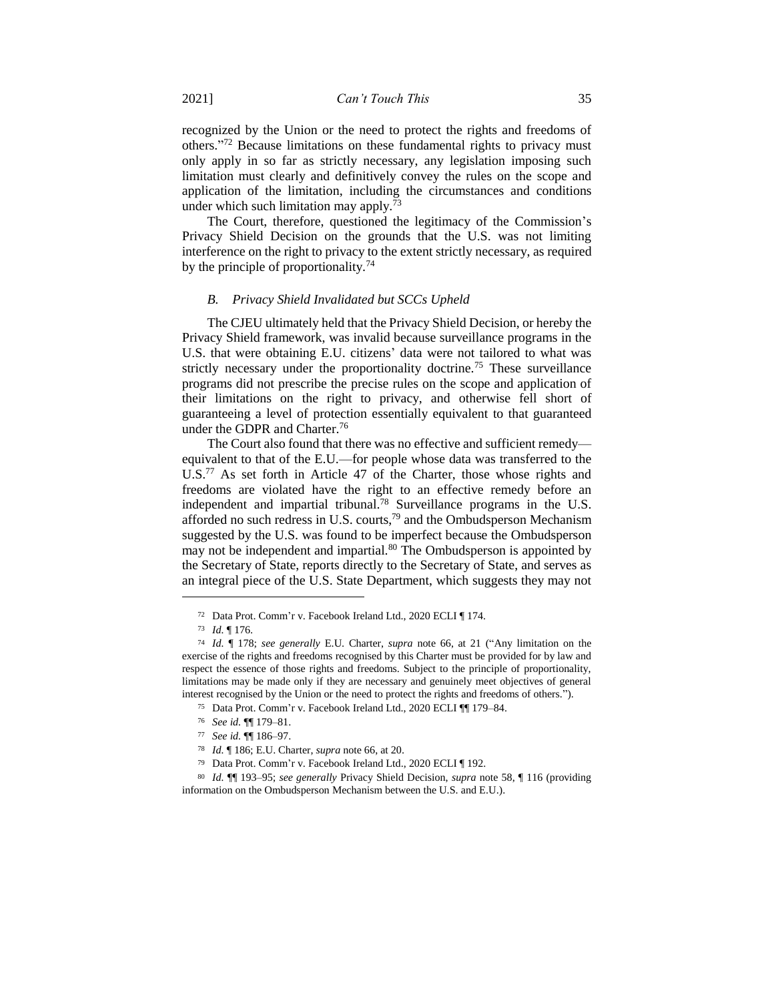recognized by the Union or the need to protect the rights and freedoms of others." <sup>72</sup> Because limitations on these fundamental rights to privacy must only apply in so far as strictly necessary, any legislation imposing such limitation must clearly and definitively convey the rules on the scope and application of the limitation, including the circumstances and conditions under which such limitation may apply.<sup>73</sup>

The Court, therefore, questioned the legitimacy of the Commission's Privacy Shield Decision on the grounds that the U.S. was not limiting interference on the right to privacy to the extent strictly necessary, as required by the principle of proportionality.<sup>74</sup>

#### *B. Privacy Shield Invalidated but SCCs Upheld*

The CJEU ultimately held that the Privacy Shield Decision, or hereby the Privacy Shield framework, was invalid because surveillance programs in the U.S. that were obtaining E.U. citizens' data were not tailored to what was strictly necessary under the proportionality doctrine.<sup>75</sup> These surveillance programs did not prescribe the precise rules on the scope and application of their limitations on the right to privacy, and otherwise fell short of guaranteeing a level of protection essentially equivalent to that guaranteed under the GDPR and Charter.<sup>76</sup>

The Court also found that there was no effective and sufficient remedy equivalent to that of the E.U.—for people whose data was transferred to the U.S.<sup>77</sup> As set forth in Article 47 of the Charter, those whose rights and freedoms are violated have the right to an effective remedy before an independent and impartial tribunal.<sup>78</sup> Surveillance programs in the U.S. afforded no such redress in U.S. courts,<sup>79</sup> and the Ombudsperson Mechanism suggested by the U.S. was found to be imperfect because the Ombudsperson may not be independent and impartial.<sup>80</sup> The Ombudsperson is appointed by the Secretary of State, reports directly to the Secretary of State, and serves as an integral piece of the U.S. State Department, which suggests they may not

<sup>72</sup> Data Prot. Comm'r v. Facebook Ireland Ltd., 2020 ECLI ¶ 174.

<sup>73</sup> *Id.* ¶ 176.

<sup>74</sup> *Id.* ¶ 178; *see generally* E.U. Charter, *supra* note 66, at 21 ("Any limitation on the exercise of the rights and freedoms recognised by this Charter must be provided for by law and respect the essence of those rights and freedoms. Subject to the principle of proportionality, limitations may be made only if they are necessary and genuinely meet objectives of general interest recognised by the Union or the need to protect the rights and freedoms of others.").

<sup>75</sup> Data Prot. Comm'r v. Facebook Ireland Ltd., 2020 ECLI ¶¶ 179–84.

<sup>76</sup> *See id.* ¶¶ 179–81.

<sup>77</sup> *See id.* ¶¶ 186–97.

<sup>78</sup> *Id.* ¶ 186; E.U. Charter, *supra* note 66, at 20.

<sup>79</sup> Data Prot. Comm'r v. Facebook Ireland Ltd., 2020 ECLI ¶ 192.

<sup>80</sup> *Id.* ¶¶ 193–95; *see generally* Privacy Shield Decision, *supra* note 58, ¶ 116 (providing information on the Ombudsperson Mechanism between the U.S. and E.U.).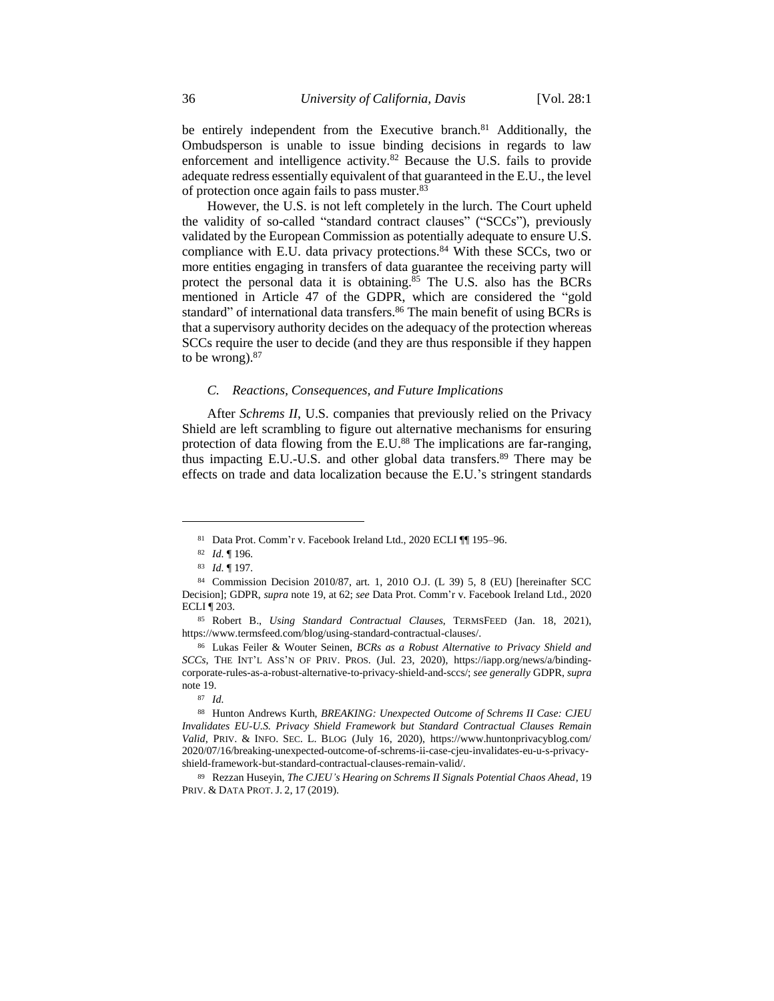be entirely independent from the Executive branch.<sup>81</sup> Additionally, the Ombudsperson is unable to issue binding decisions in regards to law enforcement and intelligence activity.<sup>82</sup> Because the U.S. fails to provide adequate redress essentially equivalent of that guaranteed in the E.U., the level of protection once again fails to pass muster.<sup>83</sup>

However, the U.S. is not left completely in the lurch. The Court upheld the validity of so-called "standard contract clauses" ("SCCs"), previously validated by the European Commission as potentially adequate to ensure U.S. compliance with E.U. data privacy protections.<sup>84</sup> With these SCCs, two or more entities engaging in transfers of data guarantee the receiving party will protect the personal data it is obtaining.<sup>85</sup> The U.S. also has the BCRs mentioned in Article 47 of the GDPR, which are considered the "gold standard" of international data transfers.<sup>86</sup> The main benefit of using BCRs is that a supervisory authority decides on the adequacy of the protection whereas SCCs require the user to decide (and they are thus responsible if they happen to be wrong). $87$ 

#### *C. Reactions, Consequences, and Future Implications*

After *Schrems II*, U.S. companies that previously relied on the Privacy Shield are left scrambling to figure out alternative mechanisms for ensuring protection of data flowing from the E.U.<sup>88</sup> The implications are far-ranging, thus impacting E.U.-U.S. and other global data transfers.<sup>89</sup> There may be effects on trade and data localization because the E.U.'s stringent standards

<sup>81</sup> Data Prot. Comm'r v. Facebook Ireland Ltd., 2020 ECLI ¶¶ 195–96.

<sup>82</sup> *Id.* ¶ 196.

<sup>83</sup> *Id.* ¶ 197.

<sup>84</sup> Commission Decision 2010/87, art. 1, 2010 O.J. (L 39) 5, 8 (EU) [hereinafter SCC Decision]; GDPR, *supra* note 19, at 62; *see* Data Prot. Comm'r v. Facebook Ireland Ltd., 2020 ECLI ¶ 203.

<sup>85</sup> Robert B., *Using Standard Contractual Clauses*, TERMSFEED (Jan. 18, 2021), https://www.termsfeed.com/blog/using-standard-contractual-clauses/.

<sup>86</sup> Lukas Feiler & Wouter Seinen, *BCRs as a Robust Alternative to Privacy Shield and SCCs*, THE INT'L ASS'N OF PRIV. PROS. (Jul. 23, 2020), https://iapp.org/news/a/bindingcorporate-rules-as-a-robust-alternative-to-privacy-shield-and-sccs/; *see generally* GDPR, *supra* note 19.

<sup>87</sup> *Id.*

<sup>88</sup> Hunton Andrews Kurth, *BREAKING: Unexpected Outcome of Schrems II Case: CJEU Invalidates EU-U.S. Privacy Shield Framework but Standard Contractual Clauses Remain Valid*, PRIV. & INFO. SEC. L. BLOG (July 16, 2020), https://www.huntonprivacyblog.com/ 2020/07/16/breaking-unexpected-outcome-of-schrems-ii-case-cjeu-invalidates-eu-u-s-privacyshield-framework-but-standard-contractual-clauses-remain-valid/.

<sup>89</sup> Rezzan Huseyin, *The CJEU's Hearing on Schrems II Signals Potential Chaos Ahead*, 19 PRIV. & DATA PROT. J. 2, 17 (2019).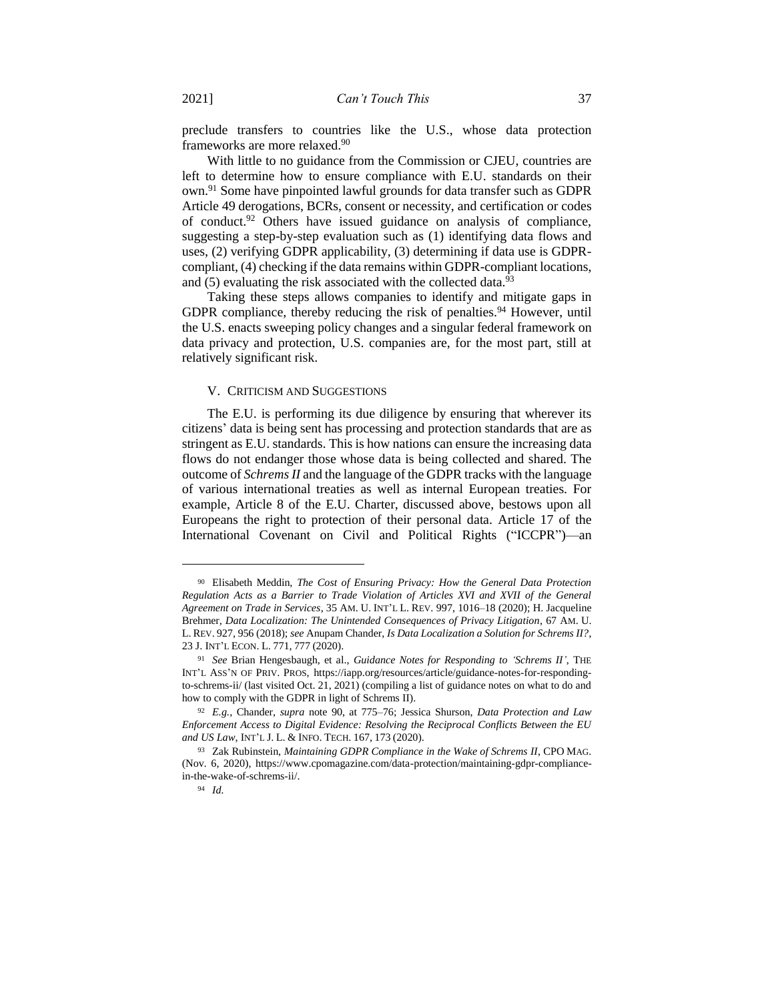preclude transfers to countries like the U.S., whose data protection frameworks are more relaxed.<sup>90</sup>

With little to no guidance from the Commission or CJEU, countries are left to determine how to ensure compliance with E.U. standards on their own.<sup>91</sup> Some have pinpointed lawful grounds for data transfer such as GDPR Article 49 derogations, BCRs, consent or necessity, and certification or codes of conduct.<sup>92</sup> Others have issued guidance on analysis of compliance, suggesting a step-by-step evaluation such as (1) identifying data flows and uses, (2) verifying GDPR applicability, (3) determining if data use is GDPRcompliant, (4) checking if the data remains within GDPR-compliant locations, and  $(5)$  evaluating the risk associated with the collected data.<sup>93</sup>

Taking these steps allows companies to identify and mitigate gaps in GDPR compliance, thereby reducing the risk of penalties.<sup>94</sup> However, until the U.S. enacts sweeping policy changes and a singular federal framework on data privacy and protection, U.S. companies are, for the most part, still at relatively significant risk.

## V. CRITICISM AND SUGGESTIONS

The E.U. is performing its due diligence by ensuring that wherever its citizens' data is being sent has processing and protection standards that are as stringent as E.U. standards. This is how nations can ensure the increasing data flows do not endanger those whose data is being collected and shared. The outcome of *Schrems II* and the language of the GDPR tracks with the language of various international treaties as well as internal European treaties. For example, Article 8 of the E.U. Charter, discussed above, bestows upon all Europeans the right to protection of their personal data. Article 17 of the International Covenant on Civil and Political Rights ("ICCPR")—an

<sup>90</sup> Elisabeth Meddin, *The Cost of Ensuring Privacy: How the General Data Protection Regulation Acts as a Barrier to Trade Violation of Articles XVI and XVII of the General Agreement on Trade in Services*, 35 AM. U. INT'L L. REV. 997, 1016–18 (2020); H. Jacqueline Brehmer, *Data Localization: The Unintended Consequences of Privacy Litigation*, 67 AM. U. L. REV. 927, 956 (2018); *see* Anupam Chander, *Is Data Localization a Solution for Schrems II?*, 23 J. INT'L ECON. L. 771, 777 (2020).

<sup>91</sup> *See* Brian Hengesbaugh, et al., *Guidance Notes for Responding to 'Schrems II'*, THE INT'L ASS'N OF PRIV. PROS, https://iapp.org/resources/article/guidance-notes-for-respondingto-schrems-ii/ (last visited Oct. 21, 2021) (compiling a list of guidance notes on what to do and how to comply with the GDPR in light of Schrems II).

<sup>92</sup> *E.g.*, Chander, *supra* note 90, at 775–76; Jessica Shurson, *Data Protection and Law Enforcement Access to Digital Evidence: Resolving the Reciprocal Conflicts Between the EU and US Law*, INT'L J. L. & INFO. TECH. 167, 173 (2020).

<sup>93</sup> Zak Rubinstein, *Maintaining GDPR Compliance in the Wake of Schrems II*, CPO MAG. (Nov. 6, 2020), https://www.cpomagazine.com/data-protection/maintaining-gdpr-compliancein-the-wake-of-schrems-ii/.

<sup>94</sup> *Id.*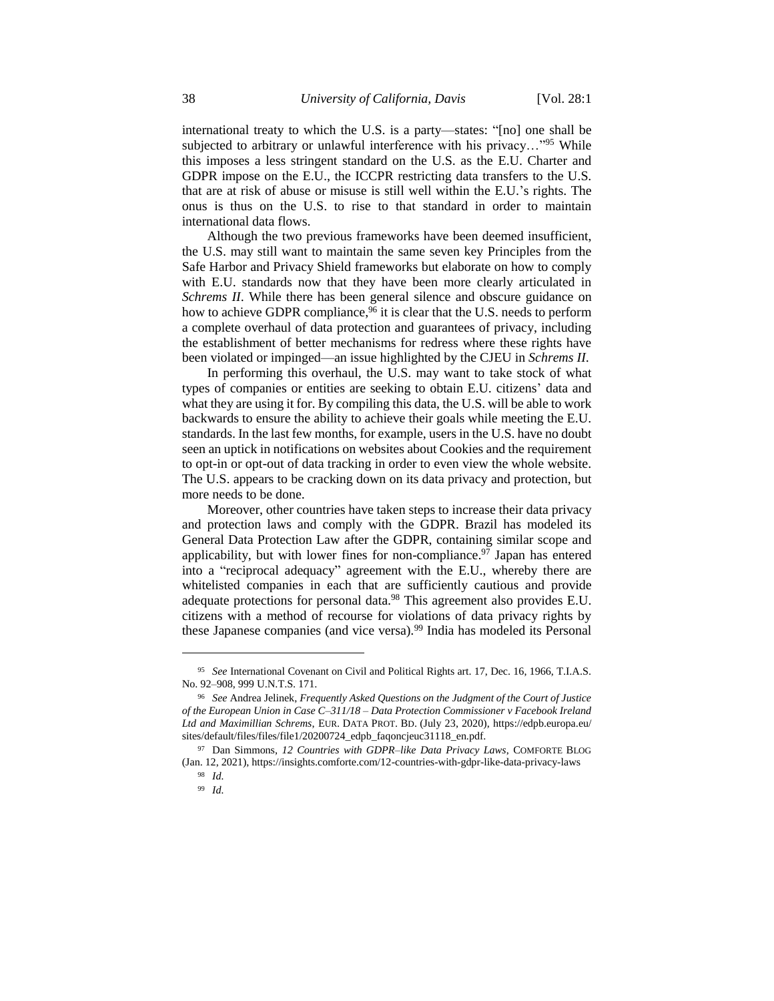international treaty to which the U.S. is a party—states: "[no] one shall be subjected to arbitrary or unlawful interference with his privacy..."<sup>95</sup> While this imposes a less stringent standard on the U.S. as the E.U. Charter and GDPR impose on the E.U., the ICCPR restricting data transfers to the U.S. that are at risk of abuse or misuse is still well within the E.U.'s rights. The onus is thus on the U.S. to rise to that standard in order to maintain international data flows.

Although the two previous frameworks have been deemed insufficient, the U.S. may still want to maintain the same seven key Principles from the Safe Harbor and Privacy Shield frameworks but elaborate on how to comply with E.U. standards now that they have been more clearly articulated in *Schrems II*. While there has been general silence and obscure guidance on how to achieve GDPR compliance,<sup>96</sup> it is clear that the U.S. needs to perform a complete overhaul of data protection and guarantees of privacy, including the establishment of better mechanisms for redress where these rights have been violated or impinged—an issue highlighted by the CJEU in *Schrems II*.

In performing this overhaul, the U.S. may want to take stock of what types of companies or entities are seeking to obtain E.U. citizens' data and what they are using it for. By compiling this data, the U.S. will be able to work backwards to ensure the ability to achieve their goals while meeting the E.U. standards. In the last few months, for example, users in the U.S. have no doubt seen an uptick in notifications on websites about Cookies and the requirement to opt-in or opt-out of data tracking in order to even view the whole website. The U.S. appears to be cracking down on its data privacy and protection, but more needs to be done.

Moreover, other countries have taken steps to increase their data privacy and protection laws and comply with the GDPR. Brazil has modeled its General Data Protection Law after the GDPR, containing similar scope and applicability, but with lower fines for non-compliance.<sup>97</sup> Japan has entered into a "reciprocal adequacy" agreement with the E.U., whereby there are whitelisted companies in each that are sufficiently cautious and provide adequate protections for personal data.<sup>98</sup> This agreement also provides E.U. citizens with a method of recourse for violations of data privacy rights by these Japanese companies (and vice versa).<sup>99</sup> India has modeled its Personal

<sup>95</sup> *See* International Covenant on Civil and Political Rights art. 17, Dec. 16, 1966, T.I.A.S. No. 92–908, 999 U.N.T.S. 171.

<sup>96</sup> *See* Andrea Jelinek, *Frequently Asked Questions on the Judgment of the Court of Justice of the European Union in Case C–311/18 – Data Protection Commissioner v Facebook Ireland Ltd and Maximillian Schrems*, EUR. DATA PROT. BD. (July 23, 2020), https://edpb.europa.eu/ sites/default/files/files/file1/20200724\_edpb\_faqoncjeuc31118\_en.pdf.

<sup>97</sup> Dan Simmons, *12 Countries with GDPR–like Data Privacy Laws*, COMFORTE BLOG (Jan. 12, 2021), https://insights.comforte.com/12-countries-with-gdpr-like-data-privacy-laws

<sup>98</sup> *Id.*

<sup>99</sup> *Id.*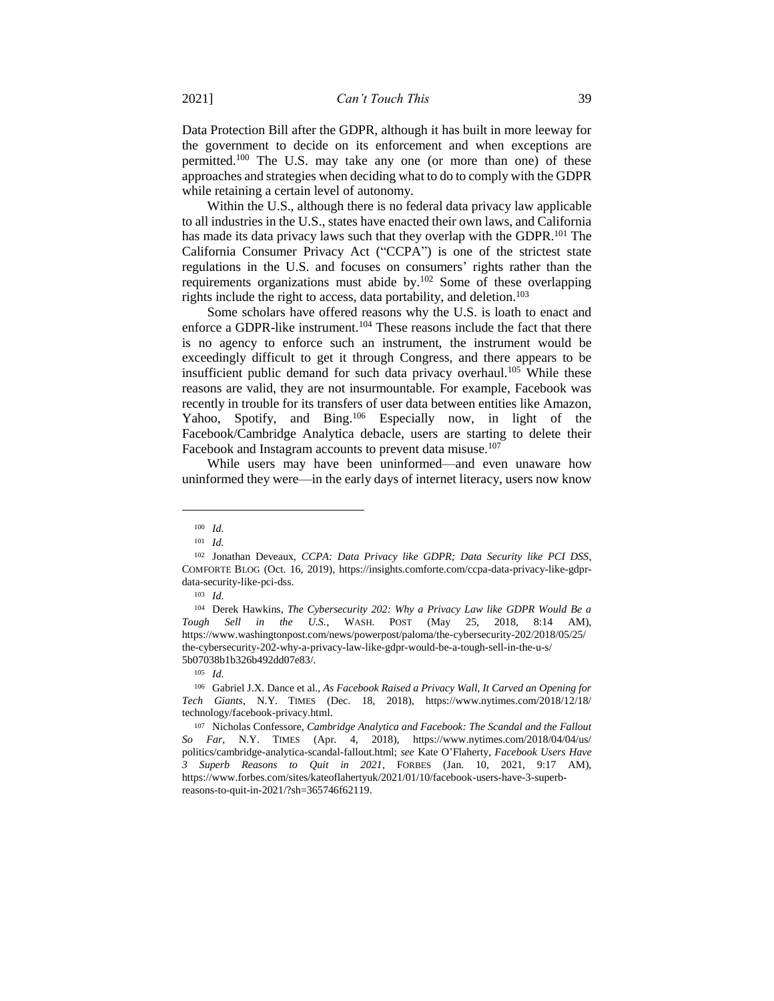Data Protection Bill after the GDPR, although it has built in more leeway for the government to decide on its enforcement and when exceptions are permitted.<sup>100</sup> The U.S. may take any one (or more than one) of these approaches and strategies when deciding what to do to comply with the GDPR while retaining a certain level of autonomy.

Within the U.S., although there is no federal data privacy law applicable to all industries in the U.S., states have enacted their own laws, and California has made its data privacy laws such that they overlap with the GDPR.<sup>101</sup> The California Consumer Privacy Act ("CCPA") is one of the strictest state regulations in the U.S. and focuses on consumers' rights rather than the requirements organizations must abide by.<sup>102</sup> Some of these overlapping rights include the right to access, data portability, and deletion.<sup>103</sup>

Some scholars have offered reasons why the U.S. is loath to enact and enforce a GDPR-like instrument.<sup>104</sup> These reasons include the fact that there is no agency to enforce such an instrument, the instrument would be exceedingly difficult to get it through Congress, and there appears to be insufficient public demand for such data privacy overhaul.<sup>105</sup> While these reasons are valid, they are not insurmountable. For example, Facebook was recently in trouble for its transfers of user data between entities like Amazon, Yahoo, Spotify, and Bing.<sup>106</sup> Especially now, in light of the Facebook/Cambridge Analytica debacle, users are starting to delete their Facebook and Instagram accounts to prevent data misuse.<sup>107</sup>

While users may have been uninformed—and even unaware how uninformed they were—in the early days of internet literacy, users now know

<sup>100</sup> *Id.*

<sup>101</sup> *Id.*

<sup>102</sup> Jonathan Deveaux, *CCPA: Data Privacy like GDPR; Data Security like PCI DSS*, COMFORTE BLOG (Oct. 16, 2019), https://insights.comforte.com/ccpa-data-privacy-like-gdprdata-security-like-pci-dss.

<sup>103</sup> *Id.*

<sup>104</sup> Derek Hawkins, *The Cybersecurity 202: Why a Privacy Law like GDPR Would Be a Tough Sell in the U.S.*, WASH. POST (May 25, 2018, 8:14 AM), https://www.washingtonpost.com/news/powerpost/paloma/the-cybersecurity-202/2018/05/25/ the-cybersecurity-202-why-a-privacy-law-like-gdpr-would-be-a-tough-sell-in-the-u-s/ 5b07038b1b326b492dd07e83/.

<sup>105</sup> *Id.*

<sup>106</sup> Gabriel J.X. Dance et al., *As Facebook Raised a Privacy Wall, It Carved an Opening for Tech Giants*, N.Y. TIMES (Dec. 18, 2018), https://www.nytimes.com/2018/12/18/ technology/facebook-privacy.html.

<sup>107</sup> Nicholas Confessore*, Cambridge Analytica and Facebook: The Scandal and the Fallout So Far*, N.Y. TIMES (Apr. 4, 2018), https://www.nytimes.com/2018/04/04/us/ politics/cambridge-analytica-scandal-fallout.html; *see* Kate O'Flaherty, *Facebook Users Have 3 Superb Reasons to Quit in 2021*, FORBES (Jan. 10, 2021, 9:17 AM), https://www.forbes.com/sites/kateoflahertyuk/2021/01/10/facebook-users-have-3-superbreasons-to-quit-in-2021/?sh=365746f62119.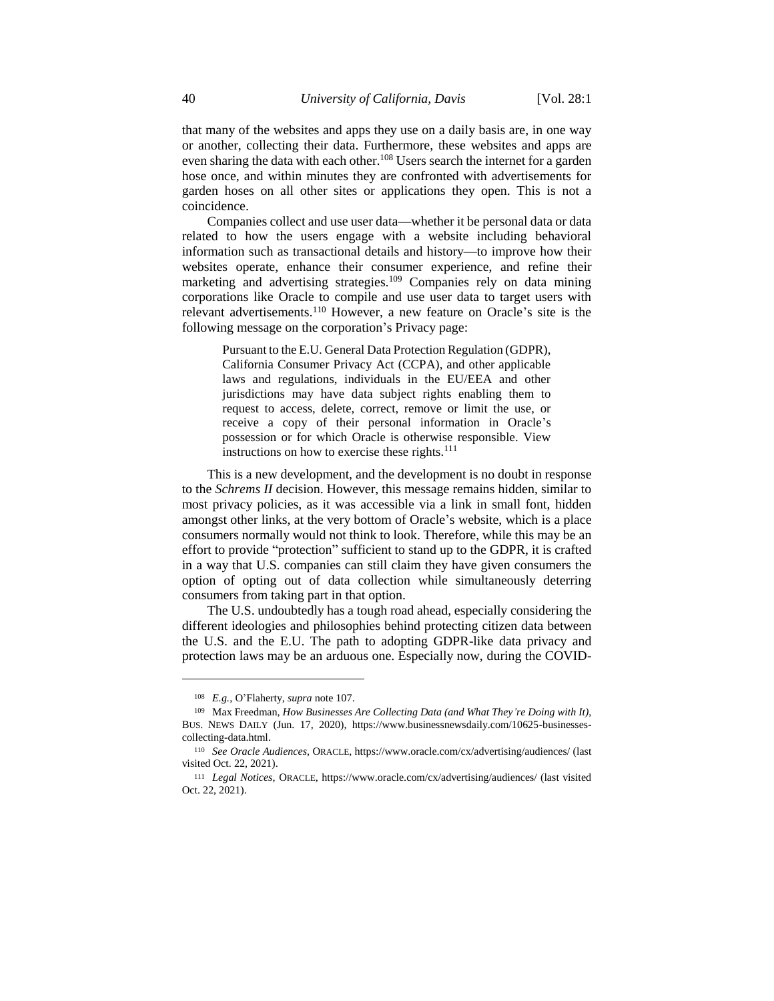that many of the websites and apps they use on a daily basis are, in one way or another, collecting their data. Furthermore, these websites and apps are even sharing the data with each other.<sup>108</sup> Users search the internet for a garden hose once, and within minutes they are confronted with advertisements for garden hoses on all other sites or applications they open. This is not a coincidence.

Companies collect and use user data—whether it be personal data or data related to how the users engage with a website including behavioral information such as transactional details and history—to improve how their websites operate, enhance their consumer experience, and refine their marketing and advertising strategies.<sup>109</sup> Companies rely on data mining corporations like Oracle to compile and use user data to target users with relevant advertisements.<sup>110</sup> However, a new feature on Oracle's site is the following message on the corporation's Privacy page:

Pursuant to the E.U. General Data Protection Regulation (GDPR), California Consumer Privacy Act (CCPA), and other applicable laws and regulations, individuals in the EU/EEA and other jurisdictions may have data subject rights enabling them to request to access, delete, correct, remove or limit the use, or receive a copy of their personal information in Oracle's possession or for which Oracle is otherwise responsible. View instructions on how to exercise these rights.<sup>111</sup>

This is a new development, and the development is no doubt in response to the *Schrems II* decision. However, this message remains hidden, similar to most privacy policies, as it was accessible via a link in small font, hidden amongst other links, at the very bottom of Oracle's website, which is a place consumers normally would not think to look. Therefore, while this may be an effort to provide "protection" sufficient to stand up to the GDPR, it is crafted in a way that U.S. companies can still claim they have given consumers the option of opting out of data collection while simultaneously deterring consumers from taking part in that option.

The U.S. undoubtedly has a tough road ahead, especially considering the different ideologies and philosophies behind protecting citizen data between the U.S. and the E.U. The path to adopting GDPR-like data privacy and protection laws may be an arduous one. Especially now, during the COVID-

<sup>108</sup> *E.g.*, O'Flaherty, *supra* note 107.

<sup>109</sup> Max Freedman, *How Businesses Are Collecting Data (and What They're Doing with It)*, BUS. NEWS DAILY (Jun. 17, 2020), https://www.businessnewsdaily.com/10625-businessescollecting-data.html.

<sup>110</sup> *See Oracle Audiences*, ORACLE, https://www.oracle.com/cx/advertising/audiences/ (last visited Oct. 22, 2021).

<sup>111</sup> *Legal Notices*, ORACLE, https://www.oracle.com/cx/advertising/audiences/ (last visited Oct. 22, 2021).